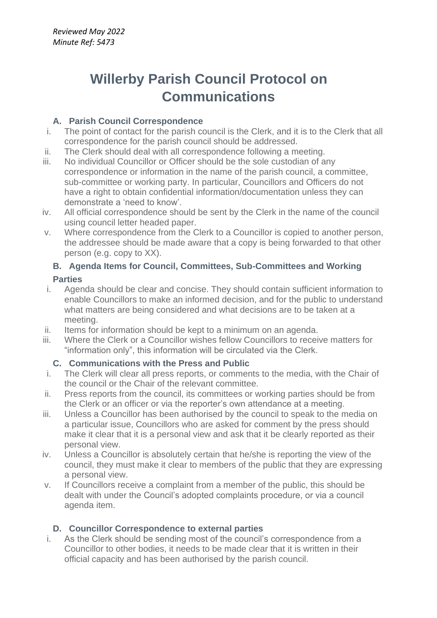# **Willerby Parish Council Protocol on Communications**

# **A. Parish Council Correspondence**

- i. The point of contact for the parish council is the Clerk, and it is to the Clerk that all correspondence for the parish council should be addressed.
- ii. The Clerk should deal with all correspondence following a meeting.
- iii. No individual Councillor or Officer should be the sole custodian of any correspondence or information in the name of the parish council, a committee, sub-committee or working party. In particular, Councillors and Officers do not have a right to obtain confidential information/documentation unless they can demonstrate a 'need to know'.
- iv. All official correspondence should be sent by the Clerk in the name of the council using council letter headed paper.
- v. Where correspondence from the Clerk to a Councillor is copied to another person, the addressee should be made aware that a copy is being forwarded to that other person (e.g. copy to XX).

### **B. Agenda Items for Council, Committees, Sub-Committees and Working Parties**

- i. Agenda should be clear and concise. They should contain sufficient information to enable Councillors to make an informed decision, and for the public to understand what matters are being considered and what decisions are to be taken at a meeting.
- ii. Items for information should be kept to a minimum on an agenda.
- iii. Where the Clerk or a Councillor wishes fellow Councillors to receive matters for "information only", this information will be circulated via the Clerk.

### **C. Communications with the Press and Public**

- i. The Clerk will clear all press reports, or comments to the media, with the Chair of the council or the Chair of the relevant committee.
- ii. Press reports from the council, its committees or working parties should be from the Clerk or an officer or via the reporter's own attendance at a meeting.
- iii. Unless a Councillor has been authorised by the council to speak to the media on a particular issue, Councillors who are asked for comment by the press should make it clear that it is a personal view and ask that it be clearly reported as their personal view.
- iv. Unless a Councillor is absolutely certain that he/she is reporting the view of the council, they must make it clear to members of the public that they are expressing a personal view.
- v. If Councillors receive a complaint from a member of the public, this should be dealt with under the Council's adopted complaints procedure, or via a council agenda item.

### **D. Councillor Correspondence to external parties**

i. As the Clerk should be sending most of the council's correspondence from a Councillor to other bodies, it needs to be made clear that it is written in their official capacity and has been authorised by the parish council.